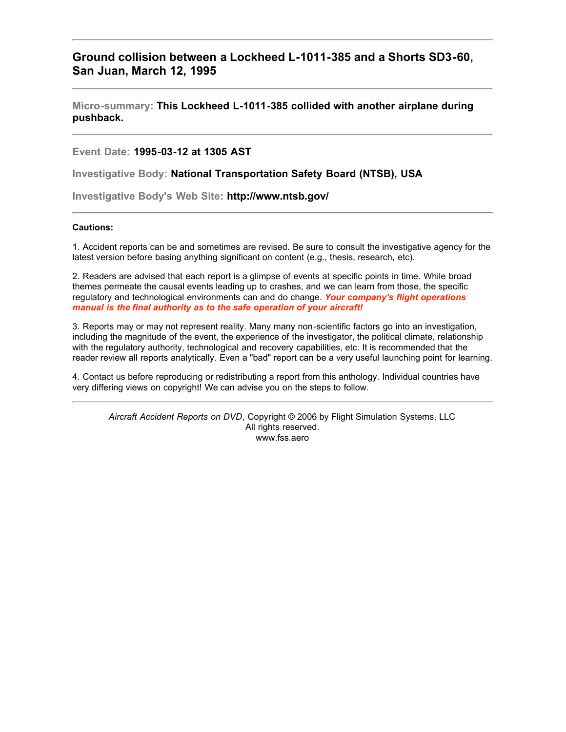## **Ground collision between a Lockheed L-1011-385 and a Shorts SD3-60, San Juan, March 12, 1995**

**Micro-summary: This Lockheed L-1011-385 collided with another airplane during pushback.**

**Event Date: 1995-03-12 at 1305 AST**

**Investigative Body: National Transportation Safety Board (NTSB), USA**

**Investigative Body's Web Site: http://www.ntsb.gov/**

## **Cautions:**

1. Accident reports can be and sometimes are revised. Be sure to consult the investigative agency for the latest version before basing anything significant on content (e.g., thesis, research, etc).

2. Readers are advised that each report is a glimpse of events at specific points in time. While broad themes permeate the causal events leading up to crashes, and we can learn from those, the specific regulatory and technological environments can and do change. *Your company's flight operations manual is the final authority as to the safe operation of your aircraft!*

3. Reports may or may not represent reality. Many many non-scientific factors go into an investigation, including the magnitude of the event, the experience of the investigator, the political climate, relationship with the regulatory authority, technological and recovery capabilities, etc. It is recommended that the reader review all reports analytically. Even a "bad" report can be a very useful launching point for learning.

4. Contact us before reproducing or redistributing a report from this anthology. Individual countries have very differing views on copyright! We can advise you on the steps to follow.

*Aircraft Accident Reports on DVD*, Copyright © 2006 by Flight Simulation Systems, LLC All rights reserved. www.fss.aero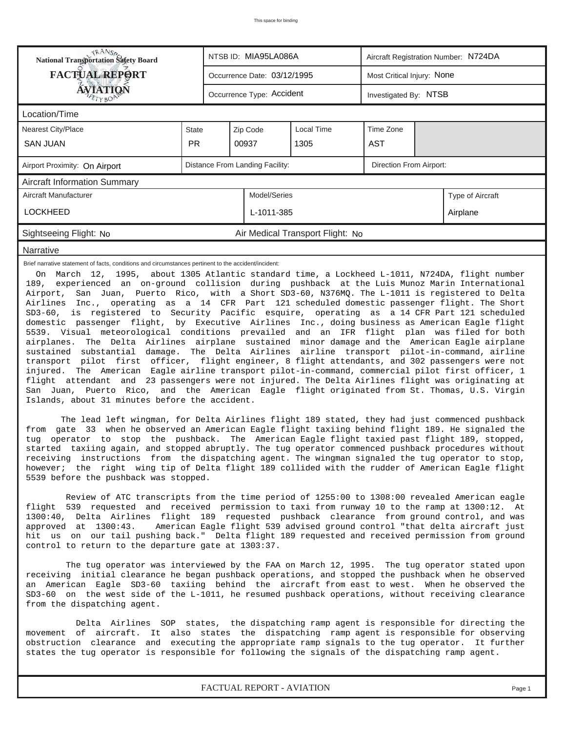| <b>National Transportation Safety Board</b>                                                                                                                                                                                                                                                                                                                                                                                                                                                                                                                                                                                                                                                                                                                                                                                                                                                                                                                                                                                                                                                                                                                                                                                                                                                                                                                                                                                                                                                                                                                                                                                                                                                                                                                                                                                                                                                                                         |              |                                 | NTSB ID: MIA95LA086A        |                                  | Aircraft Registration Number: N724DA |  |          |  |  |  |  |
|-------------------------------------------------------------------------------------------------------------------------------------------------------------------------------------------------------------------------------------------------------------------------------------------------------------------------------------------------------------------------------------------------------------------------------------------------------------------------------------------------------------------------------------------------------------------------------------------------------------------------------------------------------------------------------------------------------------------------------------------------------------------------------------------------------------------------------------------------------------------------------------------------------------------------------------------------------------------------------------------------------------------------------------------------------------------------------------------------------------------------------------------------------------------------------------------------------------------------------------------------------------------------------------------------------------------------------------------------------------------------------------------------------------------------------------------------------------------------------------------------------------------------------------------------------------------------------------------------------------------------------------------------------------------------------------------------------------------------------------------------------------------------------------------------------------------------------------------------------------------------------------------------------------------------------------|--------------|---------------------------------|-----------------------------|----------------------------------|--------------------------------------|--|----------|--|--|--|--|
| <b>FACTUAL REPORT</b>                                                                                                                                                                                                                                                                                                                                                                                                                                                                                                                                                                                                                                                                                                                                                                                                                                                                                                                                                                                                                                                                                                                                                                                                                                                                                                                                                                                                                                                                                                                                                                                                                                                                                                                                                                                                                                                                                                               |              |                                 | Occurrence Date: 03/12/1995 |                                  | Most Critical Injury: None           |  |          |  |  |  |  |
| <b>ÁVJATIQN</b>                                                                                                                                                                                                                                                                                                                                                                                                                                                                                                                                                                                                                                                                                                                                                                                                                                                                                                                                                                                                                                                                                                                                                                                                                                                                                                                                                                                                                                                                                                                                                                                                                                                                                                                                                                                                                                                                                                                     |              |                                 | Occurrence Type: Accident   |                                  | Investigated By: NTSB                |  |          |  |  |  |  |
| Location/Time                                                                                                                                                                                                                                                                                                                                                                                                                                                                                                                                                                                                                                                                                                                                                                                                                                                                                                                                                                                                                                                                                                                                                                                                                                                                                                                                                                                                                                                                                                                                                                                                                                                                                                                                                                                                                                                                                                                       |              |                                 |                             |                                  |                                      |  |          |  |  |  |  |
| <b>Nearest City/Place</b>                                                                                                                                                                                                                                                                                                                                                                                                                                                                                                                                                                                                                                                                                                                                                                                                                                                                                                                                                                                                                                                                                                                                                                                                                                                                                                                                                                                                                                                                                                                                                                                                                                                                                                                                                                                                                                                                                                           | <b>State</b> |                                 | Zip Code                    | Local Time                       | Time Zone                            |  |          |  |  |  |  |
| <b>SAN JUAN</b>                                                                                                                                                                                                                                                                                                                                                                                                                                                                                                                                                                                                                                                                                                                                                                                                                                                                                                                                                                                                                                                                                                                                                                                                                                                                                                                                                                                                                                                                                                                                                                                                                                                                                                                                                                                                                                                                                                                     | <b>PR</b>    |                                 | 00937                       | 1305                             | <b>AST</b>                           |  |          |  |  |  |  |
| Airport Proximity: On Airport                                                                                                                                                                                                                                                                                                                                                                                                                                                                                                                                                                                                                                                                                                                                                                                                                                                                                                                                                                                                                                                                                                                                                                                                                                                                                                                                                                                                                                                                                                                                                                                                                                                                                                                                                                                                                                                                                                       |              | Distance From Landing Facility: |                             | Direction From Airport:          |                                      |  |          |  |  |  |  |
| <b>Aircraft Information Summary</b>                                                                                                                                                                                                                                                                                                                                                                                                                                                                                                                                                                                                                                                                                                                                                                                                                                                                                                                                                                                                                                                                                                                                                                                                                                                                                                                                                                                                                                                                                                                                                                                                                                                                                                                                                                                                                                                                                                 |              |                                 |                             |                                  |                                      |  |          |  |  |  |  |
| Aircraft Manufacturer                                                                                                                                                                                                                                                                                                                                                                                                                                                                                                                                                                                                                                                                                                                                                                                                                                                                                                                                                                                                                                                                                                                                                                                                                                                                                                                                                                                                                                                                                                                                                                                                                                                                                                                                                                                                                                                                                                               |              |                                 | Model/Series                |                                  | Type of Aircraft                     |  |          |  |  |  |  |
| <b>LOCKHEED</b>                                                                                                                                                                                                                                                                                                                                                                                                                                                                                                                                                                                                                                                                                                                                                                                                                                                                                                                                                                                                                                                                                                                                                                                                                                                                                                                                                                                                                                                                                                                                                                                                                                                                                                                                                                                                                                                                                                                     |              |                                 | L-1011-385                  |                                  |                                      |  | Airplane |  |  |  |  |
| Sightseeing Flight: No                                                                                                                                                                                                                                                                                                                                                                                                                                                                                                                                                                                                                                                                                                                                                                                                                                                                                                                                                                                                                                                                                                                                                                                                                                                                                                                                                                                                                                                                                                                                                                                                                                                                                                                                                                                                                                                                                                              |              |                                 |                             | Air Medical Transport Flight: No |                                      |  |          |  |  |  |  |
| Narrative                                                                                                                                                                                                                                                                                                                                                                                                                                                                                                                                                                                                                                                                                                                                                                                                                                                                                                                                                                                                                                                                                                                                                                                                                                                                                                                                                                                                                                                                                                                                                                                                                                                                                                                                                                                                                                                                                                                           |              |                                 |                             |                                  |                                      |  |          |  |  |  |  |
| experienced an on-ground collision during pushback at the Luis Munoz Marin International<br>189,<br>Airport, San Juan, Puerto Rico, with a Short SD3-60, N376MQ. The L-1011 is registered to Delta<br>Airlines Inc., operating as a 14 CFR Part 121 scheduled domestic passenger flight. The Short<br>SD3-60, is registered to Security Pacific esquire, operating as a 14 CFR Part 121 scheduled<br>domestic passenger flight, by Executive Airlines Inc., doing business as American Eagle flight<br>5539. Visual meteorological conditions prevailed and an IFR flight plan was filed for both<br>airplanes. The Delta Airlines airplane sustained minor damage and the American Eagle airplane<br>sustained substantial damage. The Delta Airlines airline transport pilot-in-command, airline<br>transport pilot first officer, flight engineer, 8 flight attendants, and 302 passengers were not<br>injured. The American Eagle airline transport pilot-in-command, commercial pilot first officer, 1<br>flight attendant and 23 passengers were not injured. The Delta Airlines flight was originating at<br>San Juan, Puerto Rico, and the American Eagle flight originated from St. Thomas, U.S. Virgin<br>Islands, about 31 minutes before the accident.<br>The lead left wingman, for Delta Airlines flight 189 stated, they had just commenced pushback<br>from gate 33 when he observed an American Eagle flight taxiing behind flight 189. He signaled the<br>tug operator to stop the pushback. The American Eagle flight taxied past flight 189, stopped,<br>started taxiing again, and stopped abruptly. The tug operator commenced pushback procedures without<br>receiving instructions from the dispatching agent. The wingman signaled the tug operator to stop,<br>however; the right wing tip of Delta flight 189 collided with the rudder of American Eagle flight<br>5539 before the pushback was stopped. |              |                                 |                             |                                  |                                      |  |          |  |  |  |  |
| Review of ATC transcripts from the time period of 1255:00 to 1308:00 revealed American eagle<br>flight 539 requested and received permission to taxi from runway 10 to the ramp at 1300:12. At<br>1300:40, Delta Airlines flight 189 requested pushback clearance from ground control, and was<br>American Eagle flight 539 advised ground control "that delta aircraft just<br>approved at 1300:43.<br>hit us on our tail pushing back." Delta flight 189 requested and received permission from ground<br>control to return to the departure gate at 1303:37.<br>The tug operator was interviewed by the FAA on March 12, 1995. The tug operator stated upon<br>receiving initial clearance he began pushback operations, and stopped the pushback when he observed                                                                                                                                                                                                                                                                                                                                                                                                                                                                                                                                                                                                                                                                                                                                                                                                                                                                                                                                                                                                                                                                                                                                                               |              |                                 |                             |                                  |                                      |  |          |  |  |  |  |
| an American Eagle SD3-60 taxiing behind the aircraft from east to west. When he observed the<br>SD3-60 on the west side of the L-1011, he resumed pushback operations, without receiving clearance<br>from the dispatching agent.<br>Delta Airlines SOP states, the dispatching ramp agent is responsible for directing the<br>movement of aircraft. It also states the dispatching ramp agent is responsible for observing<br>obstruction clearance and executing the appropriate ramp signals to the tug operator. It further<br>states the tug operator is responsible for following the signals of the dispatching ramp agent.                                                                                                                                                                                                                                                                                                                                                                                                                                                                                                                                                                                                                                                                                                                                                                                                                                                                                                                                                                                                                                                                                                                                                                                                                                                                                                  |              |                                 |                             |                                  |                                      |  |          |  |  |  |  |

*FACTUAL REPORT - AVIATION Page 1*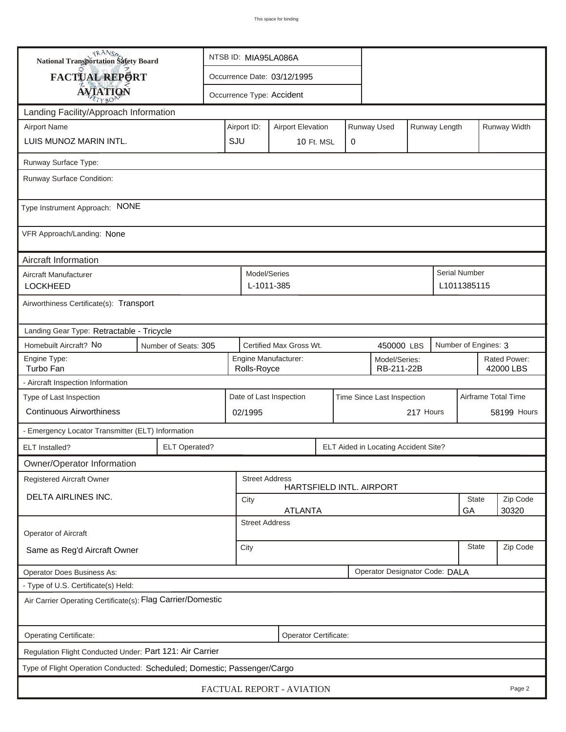| <b>National Transportation Safety Board</b>                                                                     |                                                                         |  | NTSB ID: MIA95LA086A |                            |                             |  |           |                                      |                     |              |                                     |          |  |
|-----------------------------------------------------------------------------------------------------------------|-------------------------------------------------------------------------|--|----------------------|----------------------------|-----------------------------|--|-----------|--------------------------------------|---------------------|--------------|-------------------------------------|----------|--|
| FACTUAL REPORT                                                                                                  |                                                                         |  |                      |                            | Occurrence Date: 03/12/1995 |  |           |                                      |                     |              |                                     |          |  |
| <b>AVIATION</b>                                                                                                 |                                                                         |  |                      |                            | Occurrence Type: Accident   |  |           |                                      |                     |              |                                     |          |  |
| Landing Facility/Approach Information                                                                           |                                                                         |  |                      |                            |                             |  |           |                                      |                     |              |                                     |          |  |
| <b>Airport Name</b>                                                                                             | Runway Used<br>Runway Length<br>Airport ID:<br><b>Airport Elevation</b> |  |                      |                            |                             |  |           |                                      |                     | Runway Width |                                     |          |  |
| LUIS MUNOZ MARIN INTL.                                                                                          | SJU                                                                     |  | 10 Ft. MSL           |                            | 0                           |  |           |                                      |                     |              |                                     |          |  |
| Runway Surface Type:                                                                                            |                                                                         |  |                      |                            |                             |  |           |                                      |                     |              |                                     |          |  |
| Runway Surface Condition:                                                                                       |                                                                         |  |                      |                            |                             |  |           |                                      |                     |              |                                     |          |  |
| Type Instrument Approach: NONE                                                                                  |                                                                         |  |                      |                            |                             |  |           |                                      |                     |              |                                     |          |  |
| VFR Approach/Landing: None                                                                                      |                                                                         |  |                      |                            |                             |  |           |                                      |                     |              |                                     |          |  |
| Aircraft Information                                                                                            |                                                                         |  |                      |                            |                             |  |           |                                      |                     |              |                                     |          |  |
| Aircraft Manufacturer<br><b>LOCKHEED</b>                                                                        |                                                                         |  |                      | Model/Series<br>L-1011-385 |                             |  |           |                                      |                     |              | <b>Serial Number</b><br>L1011385115 |          |  |
| Airworthiness Certificate(s): Transport                                                                         |                                                                         |  |                      |                            |                             |  |           |                                      |                     |              |                                     |          |  |
| Landing Gear Type: Retractable - Tricycle                                                                       |                                                                         |  |                      |                            |                             |  |           |                                      |                     |              |                                     |          |  |
| Homebuilt Aircraft? No<br>Certified Max Gross Wt.<br>Number of Engines: 3<br>Number of Seats: 305<br>450000 LBS |                                                                         |  |                      |                            |                             |  |           |                                      |                     |              |                                     |          |  |
| Engine Type:<br>Turbo Fan                                                                                       | Engine Manufacturer:<br>Model/Series:<br>RB-211-22B<br>Rolls-Royce      |  |                      |                            |                             |  |           | Rated Power:<br>42000 LBS            |                     |              |                                     |          |  |
| - Aircraft Inspection Information                                                                               |                                                                         |  |                      |                            |                             |  |           |                                      |                     |              |                                     |          |  |
| Type of Last Inspection                                                                                         | Date of Last Inspection<br>Time Since Last Inspection                   |  |                      |                            |                             |  |           |                                      | Airframe Total Time |              |                                     |          |  |
| <b>Continuous Airworthiness</b>                                                                                 | 02/1995                                                                 |  |                      |                            |                             |  | 217 Hours |                                      |                     | 58199 Hours  |                                     |          |  |
| - Emergency Locator Transmitter (ELT) Information                                                               |                                                                         |  |                      |                            |                             |  |           |                                      |                     |              |                                     |          |  |
| ELT Installed?                                                                                                  | <b>ELT Operated?</b>                                                    |  |                      |                            |                             |  |           | ELT Aided in Locating Accident Site? |                     |              |                                     |          |  |
| Owner/Operator Information                                                                                      |                                                                         |  |                      |                            |                             |  |           |                                      |                     |              |                                     |          |  |
| Registered Aircraft Owner                                                                                       |                                                                         |  |                      | <b>Street Address</b>      |                             |  |           | HARTSFIELD INTL. AIRPORT             |                     |              |                                     |          |  |
| DELTA AIRLINES INC.                                                                                             |                                                                         |  | City                 |                            |                             |  |           |                                      |                     |              | <b>State</b>                        | Zip Code |  |
|                                                                                                                 | <b>ATLANTA</b><br>GA<br>30320<br><b>Street Address</b>                  |  |                      |                            |                             |  |           |                                      |                     |              |                                     |          |  |
| Operator of Aircraft                                                                                            |                                                                         |  |                      |                            |                             |  |           |                                      |                     |              |                                     |          |  |
| Same as Reg'd Aircraft Owner                                                                                    | <b>State</b><br>City                                                    |  |                      |                            |                             |  |           |                                      | Zip Code            |              |                                     |          |  |
| Operator Designator Code: DALA<br><b>Operator Does Business As:</b>                                             |                                                                         |  |                      |                            |                             |  |           |                                      |                     |              |                                     |          |  |
| - Type of U.S. Certificate(s) Held:                                                                             |                                                                         |  |                      |                            |                             |  |           |                                      |                     |              |                                     |          |  |
| Air Carrier Operating Certificate(s): Flag Carrier/Domestic                                                     |                                                                         |  |                      |                            |                             |  |           |                                      |                     |              |                                     |          |  |
| Operating Certificate:<br>Operator Certificate:                                                                 |                                                                         |  |                      |                            |                             |  |           |                                      |                     |              |                                     |          |  |
| Regulation Flight Conducted Under: Part 121: Air Carrier                                                        |                                                                         |  |                      |                            |                             |  |           |                                      |                     |              |                                     |          |  |
| Type of Flight Operation Conducted: Scheduled; Domestic; Passenger/Cargo                                        |                                                                         |  |                      |                            |                             |  |           |                                      |                     |              |                                     |          |  |
| FACTUAL REPORT - AVIATION<br>Page 2                                                                             |                                                                         |  |                      |                            |                             |  |           |                                      |                     |              |                                     |          |  |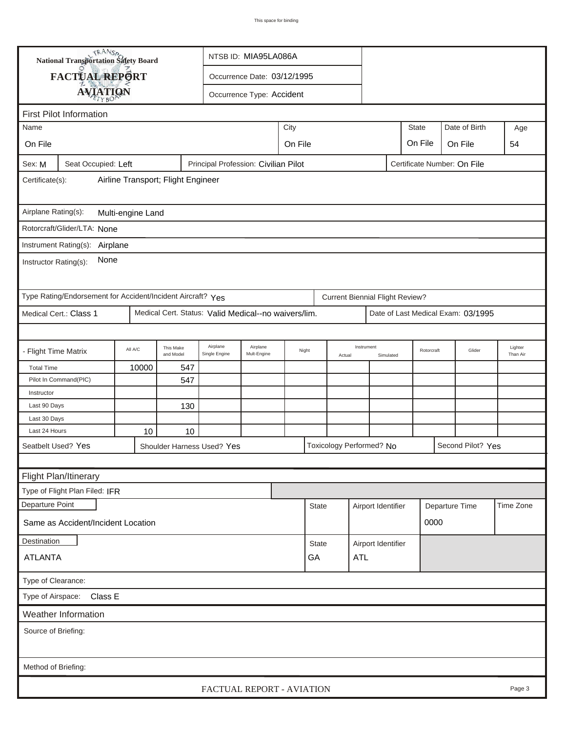| TRANSA<br>National Transportation Safety Board                                                       |                                                             |         |                        | NTSB ID: MIA95LA086A                                 |                                  |  |                      |              |                                        |                    |                |        |                                    |        |
|------------------------------------------------------------------------------------------------------|-------------------------------------------------------------|---------|------------------------|------------------------------------------------------|----------------------------------|--|----------------------|--------------|----------------------------------------|--------------------|----------------|--------|------------------------------------|--------|
|                                                                                                      | FACTUAL REPORT                                              |         |                        | Occurrence Date: 03/12/1995                          |                                  |  |                      |              |                                        |                    |                |        |                                    |        |
|                                                                                                      |                                                             |         |                        |                                                      | Occurrence Type: Accident        |  |                      |              |                                        |                    |                |        |                                    |        |
|                                                                                                      | <b>AVIATION</b>                                             |         |                        |                                                      |                                  |  |                      |              |                                        |                    |                |        |                                    |        |
|                                                                                                      | <b>First Pilot Information</b>                              |         |                        |                                                      |                                  |  |                      |              |                                        |                    |                |        |                                    |        |
| City<br>Name                                                                                         |                                                             |         |                        |                                                      |                                  |  |                      |              |                                        |                    | <b>State</b>   |        | Date of Birth                      | Age    |
| On File                                                                                              |                                                             |         |                        | On File<br>On File                                   |                                  |  |                      |              |                                        |                    |                |        | On File                            | 54     |
| Principal Profession: Civilian Pilot<br>Seat Occupied: Left<br>Certificate Number: On File<br>Sex: M |                                                             |         |                        |                                                      |                                  |  |                      |              |                                        |                    |                |        |                                    |        |
| Airline Transport; Flight Engineer<br>Certificate(s):                                                |                                                             |         |                        |                                                      |                                  |  |                      |              |                                        |                    |                |        |                                    |        |
| Airplane Rating(s):<br>Multi-engine Land                                                             |                                                             |         |                        |                                                      |                                  |  |                      |              |                                        |                    |                |        |                                    |        |
|                                                                                                      | Rotorcraft/Glider/LTA: None                                 |         |                        |                                                      |                                  |  |                      |              |                                        |                    |                |        |                                    |        |
|                                                                                                      | Instrument Rating(s): Airplane                              |         |                        |                                                      |                                  |  |                      |              |                                        |                    |                |        |                                    |        |
| None<br>Instructor Rating(s):                                                                        |                                                             |         |                        |                                                      |                                  |  |                      |              |                                        |                    |                |        |                                    |        |
|                                                                                                      | Type Rating/Endorsement for Accident/Incident Aircraft? Yes |         |                        |                                                      |                                  |  |                      |              | <b>Current Biennial Flight Review?</b> |                    |                |        |                                    |        |
|                                                                                                      | Medical Cert.: Class 1                                      |         |                        | Medical Cert. Status: Valid Medical--no waivers/lim. |                                  |  |                      |              |                                        |                    |                |        | Date of Last Medical Exam: 03/1995 |        |
|                                                                                                      |                                                             |         |                        |                                                      |                                  |  |                      |              |                                        |                    |                |        |                                    |        |
| - Flight Time Matrix                                                                                 |                                                             | All A/C | This Make<br>and Model | Airplane<br>Single Engine                            | Airplane<br>Night<br>Mult-Engine |  | Instrument<br>Actual |              | Simulated                              | Rotorcraft         |                | Glider | Lighter<br>Than Air                |        |
| <b>Total Time</b>                                                                                    |                                                             | 10000   | 547                    |                                                      |                                  |  |                      |              |                                        |                    |                |        |                                    |        |
|                                                                                                      | Pilot In Command(PIC)                                       |         | 547                    |                                                      |                                  |  |                      |              |                                        |                    |                |        |                                    |        |
| Instructor                                                                                           |                                                             |         |                        |                                                      |                                  |  |                      |              |                                        |                    |                |        |                                    |        |
| Last 90 Days                                                                                         |                                                             |         | 130                    |                                                      |                                  |  |                      |              |                                        |                    |                |        |                                    |        |
| Last 30 Days                                                                                         |                                                             |         |                        |                                                      |                                  |  |                      |              |                                        |                    |                |        |                                    |        |
| Last 24 Hours                                                                                        |                                                             | 10      | 10                     |                                                      |                                  |  |                      |              |                                        |                    |                |        |                                    |        |
| Seatbelt Used? Yes                                                                                   |                                                             |         |                        | Shoulder Harness Used? Yes                           |                                  |  |                      |              | Toxicology Performed? No               |                    |                |        | Second Pilot? Yes                  |        |
|                                                                                                      |                                                             |         |                        |                                                      |                                  |  |                      |              |                                        |                    |                |        |                                    |        |
|                                                                                                      | Flight Plan/Itinerary                                       |         |                        |                                                      |                                  |  |                      |              |                                        |                    |                |        |                                    |        |
|                                                                                                      | Type of Flight Plan Filed: IFR                              |         |                        |                                                      |                                  |  |                      |              |                                        |                    |                |        |                                    |        |
| Departure Point                                                                                      |                                                             |         |                        |                                                      |                                  |  | <b>State</b>         |              | Airport Identifier                     |                    | Departure Time |        | Time Zone                          |        |
|                                                                                                      | Same as Accident/Incident Location                          |         |                        |                                                      |                                  |  |                      |              |                                        |                    | 0000           |        |                                    |        |
| Destination                                                                                          |                                                             |         |                        |                                                      |                                  |  |                      | <b>State</b> |                                        | Airport Identifier |                |        |                                    |        |
| <b>ATLANTA</b>                                                                                       |                                                             |         |                        |                                                      |                                  |  | GA<br><b>ATL</b>     |              |                                        |                    |                |        |                                    |        |
| Type of Clearance:                                                                                   |                                                             |         |                        |                                                      |                                  |  |                      |              |                                        |                    |                |        |                                    |        |
| Type of Airspace: Class E                                                                            |                                                             |         |                        |                                                      |                                  |  |                      |              |                                        |                    |                |        |                                    |        |
| Weather Information                                                                                  |                                                             |         |                        |                                                      |                                  |  |                      |              |                                        |                    |                |        |                                    |        |
| Source of Briefing:                                                                                  |                                                             |         |                        |                                                      |                                  |  |                      |              |                                        |                    |                |        |                                    |        |
|                                                                                                      |                                                             |         |                        |                                                      |                                  |  |                      |              |                                        |                    |                |        |                                    |        |
| Method of Briefing:                                                                                  |                                                             |         |                        |                                                      |                                  |  |                      |              |                                        |                    |                |        |                                    |        |
|                                                                                                      |                                                             |         |                        | FACTUAL REPORT - AVIATION                            |                                  |  |                      |              |                                        |                    |                |        |                                    | Page 3 |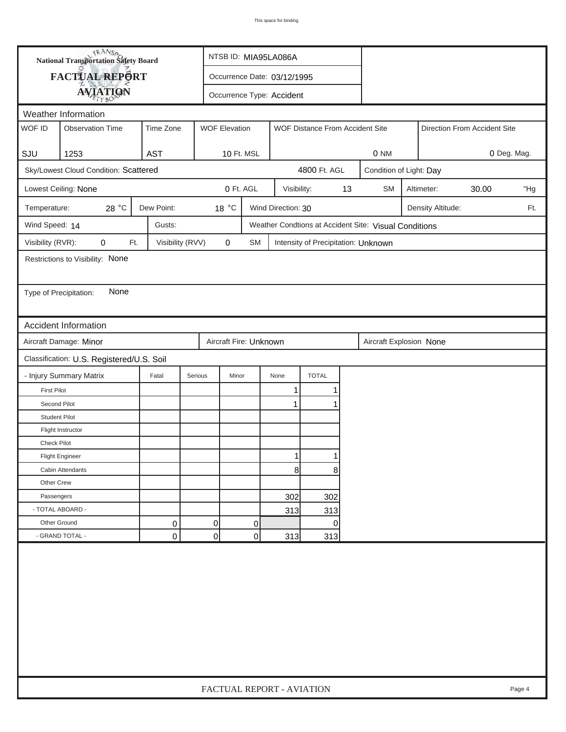| <b>National Transportation Safety Board</b> |                                                                                                 |                  |                |                                                  |    | NTSB ID: MIA95LA086A        |                                     |    |                                                       |                         |                              |  |     |  |
|---------------------------------------------|-------------------------------------------------------------------------------------------------|------------------|----------------|--------------------------------------------------|----|-----------------------------|-------------------------------------|----|-------------------------------------------------------|-------------------------|------------------------------|--|-----|--|
| FACTUAL REPORT                              |                                                                                                 |                  |                |                                                  |    | Occurrence Date: 03/12/1995 |                                     |    |                                                       |                         |                              |  |     |  |
|                                             | <b>AVIATION</b>                                                                                 |                  |                | Occurrence Type: Accident                        |    |                             |                                     |    |                                                       |                         |                              |  |     |  |
|                                             | Weather Information                                                                             |                  |                |                                                  |    |                             |                                     |    |                                                       |                         |                              |  |     |  |
| WOF ID                                      | <b>WOF Elevation</b><br><b>Observation Time</b><br>Time Zone<br>WOF Distance From Accident Site |                  |                |                                                  |    |                             |                                     |    |                                                       |                         | Direction From Accident Site |  |     |  |
|                                             |                                                                                                 |                  |                |                                                  |    |                             |                                     |    |                                                       |                         |                              |  |     |  |
| SJU                                         | 1253                                                                                            | <b>AST</b>       |                | 10 Ft. MSL                                       |    |                             |                                     |    | 0 NM                                                  | 0 Deg. Mag.             |                              |  |     |  |
|                                             | Sky/Lowest Cloud Condition: Scattered                                                           |                  |                |                                                  |    |                             | 4800 Ft. AGL                        |    |                                                       | Condition of Light: Day |                              |  |     |  |
|                                             | Lowest Ceiling: None                                                                            |                  |                | 0 Ft. AGL                                        |    | Visibility:                 |                                     | 13 | <b>SM</b><br>Altimeter:<br>30.00                      |                         |                              |  | "Hg |  |
| Temperature:                                | 28 °C                                                                                           | Dew Point:       |                | 18 °C<br>Wind Direction: 30<br>Density Altitude: |    |                             |                                     |    |                                                       |                         |                              |  | Ft. |  |
| Wind Speed: 14                              |                                                                                                 | Gusts:           |                |                                                  |    |                             |                                     |    | Weather Condtions at Accident Site: Visual Conditions |                         |                              |  |     |  |
| Visibility (RVR):                           | 0<br>Ft.                                                                                        | Visibility (RVV) |                | 0                                                | SM |                             | Intensity of Precipitation: Unknown |    |                                                       |                         |                              |  |     |  |
|                                             | Restrictions to Visibility: None                                                                |                  |                |                                                  |    |                             |                                     |    |                                                       |                         |                              |  |     |  |
|                                             |                                                                                                 |                  |                |                                                  |    |                             |                                     |    |                                                       |                         |                              |  |     |  |
| Type of Precipitation:                      | None                                                                                            |                  |                |                                                  |    |                             |                                     |    |                                                       |                         |                              |  |     |  |
|                                             |                                                                                                 |                  |                |                                                  |    |                             |                                     |    |                                                       |                         |                              |  |     |  |
|                                             | <b>Accident Information</b>                                                                     |                  |                |                                                  |    |                             |                                     |    |                                                       |                         |                              |  |     |  |
|                                             | Aircraft Damage: Minor                                                                          |                  |                | Aircraft Fire: Unknown                           |    |                             |                                     |    | Aircraft Explosion None                               |                         |                              |  |     |  |
| Classification: U.S. Registered/U.S. Soil   |                                                                                                 |                  |                |                                                  |    |                             |                                     |    |                                                       |                         |                              |  |     |  |
|                                             | - Injury Summary Matrix                                                                         | Fatal            | Serious        | Minor                                            |    | None                        | <b>TOTAL</b>                        |    |                                                       |                         |                              |  |     |  |
| <b>First Pilot</b>                          |                                                                                                 |                  |                |                                                  |    | 1                           | 1                                   |    |                                                       |                         |                              |  |     |  |
| Second Pilot                                |                                                                                                 |                  |                |                                                  |    | $\mathbf{1}$                | 1                                   |    |                                                       |                         |                              |  |     |  |
| <b>Student Pilot</b>                        |                                                                                                 |                  |                |                                                  |    |                             |                                     |    |                                                       |                         |                              |  |     |  |
|                                             | Flight Instructor                                                                               |                  |                |                                                  |    |                             |                                     |    |                                                       |                         |                              |  |     |  |
| <b>Check Pilot</b>                          |                                                                                                 |                  |                |                                                  |    |                             |                                     |    |                                                       |                         |                              |  |     |  |
|                                             | <b>Flight Engineer</b>                                                                          |                  |                |                                                  |    | 1                           |                                     |    |                                                       |                         |                              |  |     |  |
|                                             | Cabin Attendants                                                                                |                  |                |                                                  |    | 8                           | 8                                   |    |                                                       |                         |                              |  |     |  |
| Other Crew                                  |                                                                                                 |                  |                |                                                  |    |                             |                                     |    |                                                       |                         |                              |  |     |  |
| Passengers                                  |                                                                                                 |                  |                |                                                  |    | 302                         | 302                                 |    |                                                       |                         |                              |  |     |  |
| - TOTAL ABOARD -                            |                                                                                                 |                  |                |                                                  |    | 313                         | 313                                 |    |                                                       |                         |                              |  |     |  |
| Other Ground                                |                                                                                                 | 0                | $\overline{0}$ |                                                  | 0  |                             | $\overline{0}$                      |    |                                                       |                         |                              |  |     |  |
|                                             | - GRAND TOTAL -                                                                                 | 0                | 0              |                                                  | 0  | 313                         | 313                                 |    |                                                       |                         |                              |  |     |  |
|                                             |                                                                                                 |                  |                |                                                  |    |                             |                                     |    |                                                       |                         |                              |  |     |  |
|                                             | FACTUAL REPORT - AVIATION<br>Page 4                                                             |                  |                |                                                  |    |                             |                                     |    |                                                       |                         |                              |  |     |  |